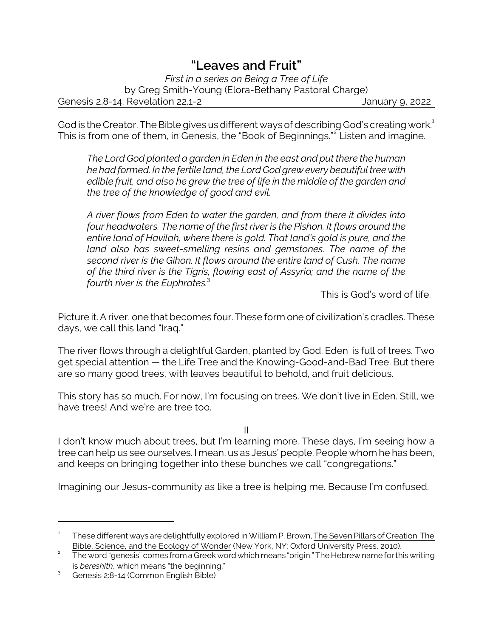## *"Leaves and Fruit"*

*First in a series on Being a Tree of Life* by Greg Smith-Young (Elora-Bethany Pastoral Charge) Genesis 2.8-14; Revelation 22.1-2 January 9, 2022

God is the Creator. The Bible gives us different ways of describing God's creating work.<sup>1</sup> This is from one of them, in Genesis, the "Book of Beginnings."<sup>2</sup> Listen and imagine.

*The Lord God planted a garden in Eden in the east and put there the human he had formed. In the fertile land, the Lord God grew every beautiful tree with edible fruit, and also he grew the tree of life in the middle of the garden and the tree of the knowledge of good and evil.*

*A river flows from Eden to water the garden, and from there it divides into four headwaters. The name of the first river is the Pishon. It flows around the entire land of Havilah, where there is gold. That land's gold is pure, and the land also has sweet-smelling resins and gemstones. The name of the second river is the Gihon. It flows around the entire land of Cush. The name of the third river is the Tigris, flowing east of Assyria; and the name of the fourth river is the Euphrates.*<sup>3</sup>

This is God's word of life.

Picture it. A river, one that becomes four. These form one of civilization's cradles. These days, we call this land "Iraq."

The river flows through a delightful Garden, planted by God. Eden is full of trees. Two get special attention — the Life Tree and the Knowing-Good-and-Bad Tree. But there are so many good trees, with leaves beautiful to behold, and fruit delicious.

This story has so much. For now, I'm focusing on trees. We don't live in Eden. Still, we have trees! And we're are tree too.

II

I don't know much about trees, but I'm learning more. These days, I'm seeing how a tree can help us see ourselves. I mean, us as Jesus' people. People whom he has been, and keeps on bringing together into these bunches we call "congregations."

Imagining our Jesus-community as like a tree is helping me. Because I'm confused.

<sup>1</sup> These different ways are delightfully explored in William P. Brown, The Seven Pillars of Creation: The Bible, Science, and the Ecology of Wonder (New York, NY: Oxford University Press, 2010).

<sup>2</sup> The word "genesis" comes from a Greek word which means "origin." The Hebrew name for this writing is *bereshith*, which means "the beginning."

<sup>3</sup> Genesis 2:8-14 (Common English Bible)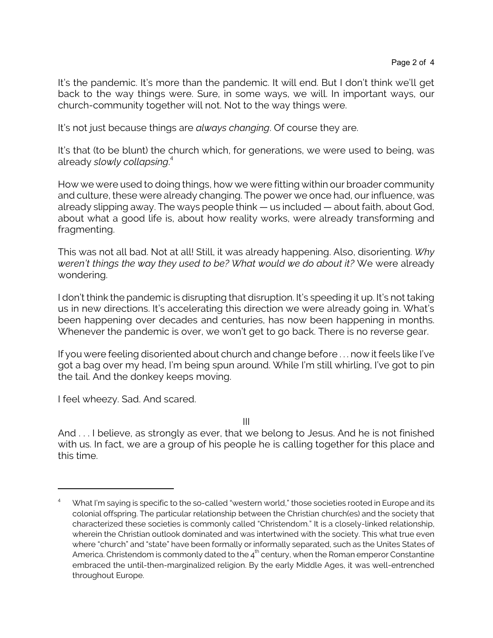It's the pandemic. It's more than the pandemic. It will end. But I don't think we'll get back to the way things were. Sure, in some ways, we will. In important ways, our church-community together will not. Not to the way things were.

It's not just because things are *always changing*. Of course they are.

It's that (to be blunt) the church which, for generations, we were used to being, was already *slowly collapsing*. 4

How we were used to doing things, how we were fitting within our broader community and culture, these were already changing. The power we once had, our influence, was already slipping away. The ways people think — us included — about faith, about God, about what a good life is, about how reality works, were already transforming and fragmenting.

This was not all bad. Not at all! Still, it was already happening. Also, disorienting. *Why weren't things the way they used to be? What would we do about it?* We were already wondering.

I don't think the pandemic is disrupting that disruption. It's speeding it up. It's not taking us in new directions. It's accelerating this direction we were already going in. What's been happening over decades and centuries, has now been happening in months. Whenever the pandemic is over, we won't get to go back. There is no reverse gear.

If you were feeling disoriented about church and change before . . . now it feels like I've got a bag over my head, I'm being spun around. While I'm still whirling, I've got to pin the tail. And the donkey keeps moving.

I feel wheezy. Sad. And scared.

III

And . . . I believe, as strongly as ever, that we belong to Jesus. And he is not finished with us. In fact, we are a group of his people he is calling together for this place and this time.

What I'm saying is specific to the so-called "western world," those societies rooted in Europe and its colonial offspring. The particular relationship between the Christian church(es) and the society that characterized these societies is commonly called "Christendom." It is a closely-linked relationship, wherein the Christian outlook dominated and was intertwined with the society. This what true even where "church" and "state" have been formally or informally separated, such as the Unites States of America. Christendom is commonly dated to the 4 $^{\rm th}$  century, when the Roman emperor Constantine embraced the until-then-marginalized religion. By the early Middle Ages, it was well-entrenched throughout Europe.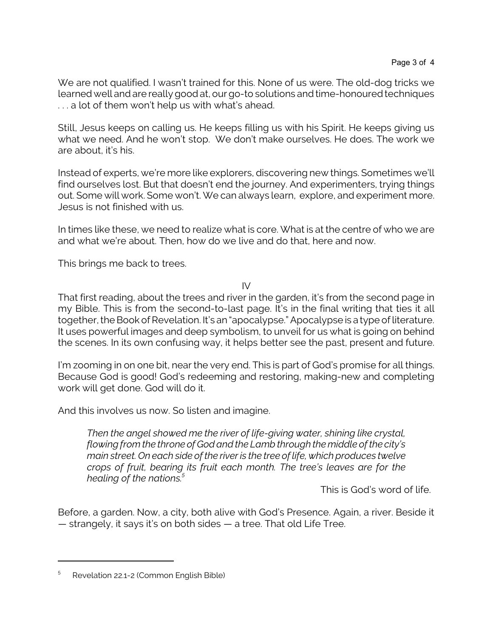We are not qualified. I wasn't trained for this. None of us were. The old-dog tricks we learned well and are really good at, our go-to solutions and time-honoured techniques . . . a lot of them won't help us with what's ahead.

Still, Jesus keeps on calling us. He keeps filling us with his Spirit. He keeps giving us what we need. And he won't stop. We don't make ourselves. He does. The work we are about, it's his.

Instead of experts, we're more like explorers, discovering new things. Sometimes we'll find ourselves lost. But that doesn't end the journey. And experimenters, trying things out. Some will work. Some won't. We can always learn, explore, and experiment more. Jesus is not finished with us.

In times like these, we need to realize what is core. What is at the centre of who we are and what we're about. Then, how do we live and do that, here and now.

This brings me back to trees.

IV

That first reading, about the trees and river in the garden, it's from the second page in my Bible. This is from the second-to-last page. It's in the final writing that ties it all together, the Book of Revelation. It's an "apocalypse." Apocalypse is a type of literature. It uses powerful images and deep symbolism, to unveil for us what is going on behind the scenes. In its own confusing way, it helps better see the past, present and future.

I'm zooming in on one bit, near the very end. This is part of God's promise for all things. Because God is good! God's redeeming and restoring, making-new and completing work will get done. God will do it.

And this involves us now. So listen and imagine.

*Then the angel showed me the river of life-giving water, shining like crystal, flowing from the throne of God and the Lamb through the middle of the city's main street. On each side of the river is the tree of life, which produces twelve crops of fruit, bearing its fruit each month. The tree's leaves are for the healing of the nations.<sup>5</sup>*

This is God's word of life.

Before, a garden. Now, a city, both alive with God's Presence. Again, a river. Beside it — strangely, it says it's on both sides — a tree. That old Life Tree.

<sup>5</sup> Revelation 22.1-2 (Common English Bible)